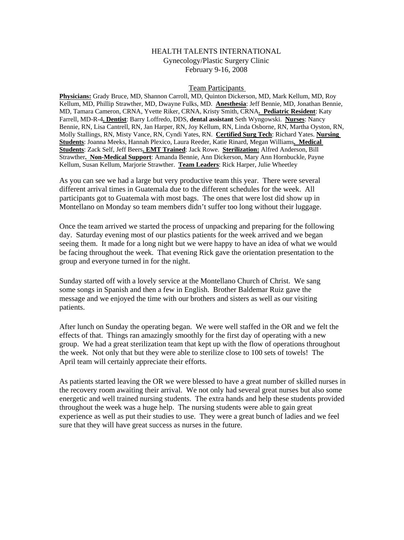## HEALTH TALENTS INTERNATIONAL Gynecology/Plastic Surgery Clinic February 9-16, 2008

## Team Participants

**Physicians:** Grady Bruce, MD, Shannon Carroll, MD, Quinton Dickerson, MD, Mark Kellum, MD, Roy Kellum, MD, Phillip Strawther, MD, Dwayne Fulks, MD. **Anesthesia**: Jeff Bennie, MD, Jonathan Bennie, MD, Tamara Cameron, CRNA, Yvette Riker, CRNA, Kristy Smith, CRNA**. Pediatric Resident**: Katy Farrell, MD-R-4**. Dentist**: Barry Loffredo, DDS, **dental assistant** Seth Wyngowski. **Nurses**: Nancy Bennie, RN, Lisa Cantrell, RN, Jan Harper, RN, Joy Kellum, RN, Linda Osborne, RN, Martha Oyston, RN, Molly Stallings, RN, Misty Vance, RN, Cyndi Yates, RN. **Certified Surg Tech**: Richard Yates. **Nursing Students**: Joanna Meeks, Hannah Plexico, Laura Reeder, Katie Rinard, Megan Williams**. Medical Students**: Zack Self, Jeff Beers**. EMT Trained**: Jack Rowe. **Sterilization:** Alfred Anderson, Bill Strawther**. Non-Medical Support**: Amanda Bennie, Ann Dickerson, Mary Ann Hornbuckle, Payne Kellum, Susan Kellum, Marjorie Strawther. **Team Leaders**: Rick Harper, Julie Wheetley

As you can see we had a large but very productive team this year. There were several different arrival times in Guatemala due to the different schedules for the week. All participants got to Guatemala with most bags. The ones that were lost did show up in Montellano on Monday so team members didn't suffer too long without their luggage.

Once the team arrived we started the process of unpacking and preparing for the following day. Saturday evening most of our plastics patients for the week arrived and we began seeing them. It made for a long night but we were happy to have an idea of what we would be facing throughout the week. That evening Rick gave the orientation presentation to the group and everyone turned in for the night.

Sunday started off with a lovely service at the Montellano Church of Christ. We sang some songs in Spanish and then a few in English. Brother Baldemar Ruiz gave the message and we enjoyed the time with our brothers and sisters as well as our visiting patients.

After lunch on Sunday the operating began. We were well staffed in the OR and we felt the effects of that. Things ran amazingly smoothly for the first day of operating with a new group. We had a great sterilization team that kept up with the flow of operations throughout the week. Not only that but they were able to sterilize close to 100 sets of towels! The April team will certainly appreciate their efforts.

As patients started leaving the OR we were blessed to have a great number of skilled nurses in the recovery room awaiting their arrival. We not only had several great nurses but also some energetic and well trained nursing students. The extra hands and help these students provided throughout the week was a huge help. The nursing students were able to gain great experience as well as put their studies to use. They were a great bunch of ladies and we feel sure that they will have great success as nurses in the future.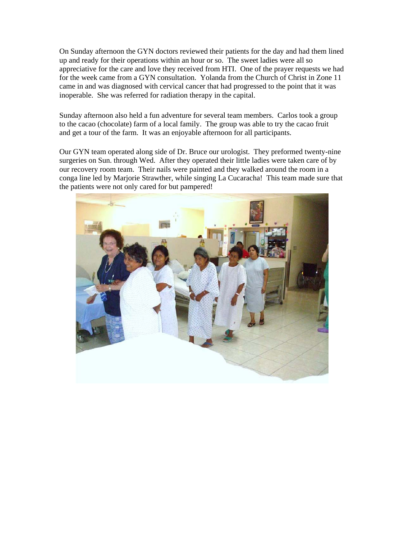On Sunday afternoon the GYN doctors reviewed their patients for the day and had them lined up and ready for their operations within an hour or so. The sweet ladies were all so appreciative for the care and love they received from HTI. One of the prayer requests we had for the week came from a GYN consultation. Yolanda from the Church of Christ in Zone 11 came in and was diagnosed with cervical cancer that had progressed to the point that it was inoperable. She was referred for radiation therapy in the capital.

Sunday afternoon also held a fun adventure for several team members. Carlos took a group to the cacao (chocolate) farm of a local family. The group was able to try the cacao fruit and get a tour of the farm. It was an enjoyable afternoon for all participants.

Our GYN team operated along side of Dr. Bruce our urologist. They preformed twenty-nine surgeries on Sun. through Wed. After they operated their little ladies were taken care of by our recovery room team. Their nails were painted and they walked around the room in a conga line led by Marjorie Strawther, while singing La Cucaracha! This team made sure that the patients were not only cared for but pampered!

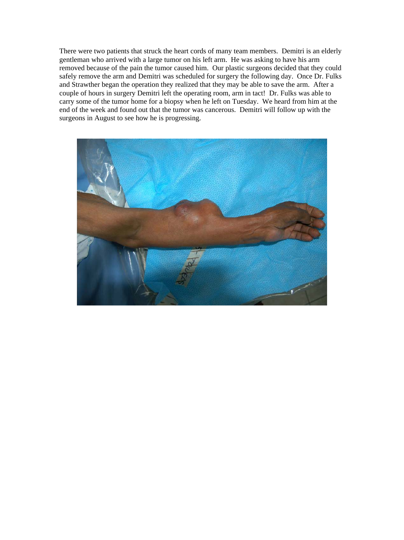There were two patients that struck the heart cords of many team members. Demitri is an elderly gentleman who arrived with a large tumor on his left arm. He was asking to have his arm removed because of the pain the tumor caused him. Our plastic surgeons decided that they could safely remove the arm and Demitri was scheduled for surgery the following day. Once Dr. Fulks and Strawther began the operation they realized that they may be able to save the arm. After a couple of hours in surgery Demitri left the operating room, arm in tact! Dr. Fulks was able to carry some of the tumor home for a biopsy when he left on Tuesday. We heard from him at the end of the week and found out that the tumor was cancerous. Demitri will follow up with the surgeons in August to see how he is progressing.

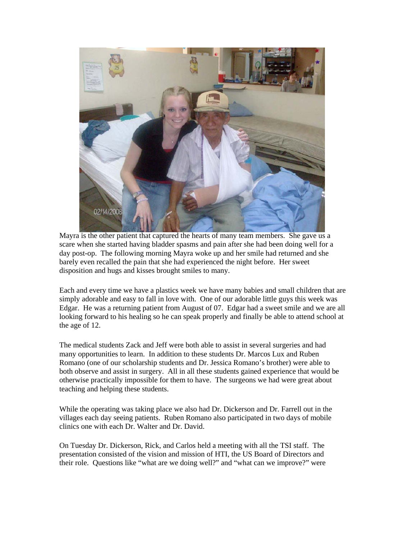

Mayra is the other patient that captured the hearts of many team members. She gave us a scare when she started having bladder spasms and pain after she had been doing well for a day post-op. The following morning Mayra woke up and her smile had returned and she barely even recalled the pain that she had experienced the night before. Her sweet disposition and hugs and kisses brought smiles to many.

Each and every time we have a plastics week we have many babies and small children that are simply adorable and easy to fall in love with. One of our adorable little guys this week was Edgar. He was a returning patient from August of 07. Edgar had a sweet smile and we are all looking forward to his healing so he can speak properly and finally be able to attend school at the age of 12.

The medical students Zack and Jeff were both able to assist in several surgeries and had many opportunities to learn. In addition to these students Dr. Marcos Lux and Ruben Romano (one of our scholarship students and Dr. Jessica Romano's brother) were able to both observe and assist in surgery. All in all these students gained experience that would be otherwise practically impossible for them to have. The surgeons we had were great about teaching and helping these students.

While the operating was taking place we also had Dr. Dickerson and Dr. Farrell out in the villages each day seeing patients. Ruben Romano also participated in two days of mobile clinics one with each Dr. Walter and Dr. David.

On Tuesday Dr. Dickerson, Rick, and Carlos held a meeting with all the TSI staff. The presentation consisted of the vision and mission of HTI, the US Board of Directors and their role. Questions like "what are we doing well?" and "what can we improve?" were